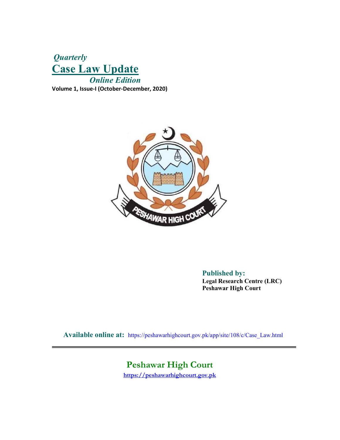# **Quarterly** Case Law Update Online Edition Volume 1, Issue-I (October-December, 2020)



 Published by: Legal Research Centre (LRC) Peshawar High Court

Available online at: https://peshawarhighcourt.gov.pk/app/site/108/c/Case\_Law.html

# Peshawar High Court

https://peshawarhighcourt.gov.pk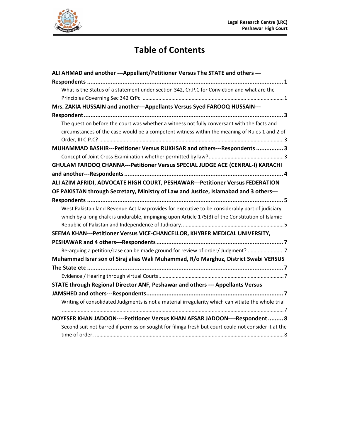

# Table of Contents

| ALI AHMAD and another ---Appellant/Petitioner Versus The STATE and others ---                        |  |
|------------------------------------------------------------------------------------------------------|--|
|                                                                                                      |  |
| What is the Status of a statement under section 342, Cr.P.C for Conviction and what are the          |  |
|                                                                                                      |  |
| Mrs. ZAKIA HUSSAIN and another---Appellants Versus Syed FAROOQ HUSSAIN---                            |  |
|                                                                                                      |  |
| The question before the court was whether a witness not fully conversant with the facts and          |  |
| circumstances of the case would be a competent witness within the meaning of Rules 1 and 2 of        |  |
|                                                                                                      |  |
| MUHAMMAD BASHIR---Petitioner Versus RUKHSAR and others---Respondents  3                              |  |
|                                                                                                      |  |
| GHULAM FAROOQ CHANNA---Petitioner Versus SPECIAL JUDGE ACE (CENRAL-I) KARACHI                        |  |
|                                                                                                      |  |
| ALI AZIM AFRIDI, ADVOCATE HIGH COURT, PESHAWAR---Petitioner Versus FEDERATION                        |  |
| OF PAKISTAN through Secretary, Ministry of Law and Justice, Islamabad and 3 others---                |  |
|                                                                                                      |  |
| West Pakistan land Revenue Act law provides for executive to be considerably part of judiciary       |  |
| which by a long chalk is undurable, impinging upon Article 175(3) of the Constitution of Islamic     |  |
|                                                                                                      |  |
| SEEMA KHAN---Petitioner Versus VICE-CHANCELLOR, KHYBER MEDICAL UNIVERSITY,                           |  |
|                                                                                                      |  |
| Re-arguing a petition/case can be made ground for review of order/ Judgment?                         |  |
| Muhammad Israr son of Siraj alias Wali Muhammad, R/o Marghuz, District Swabi VERSUS                  |  |
|                                                                                                      |  |
|                                                                                                      |  |
| STATE through Regional Director ANF, Peshawar and others --- Appellants Versus                       |  |
|                                                                                                      |  |
| Writing of consolidated Judgments is not a material irregularity which can vitiate the whole trial   |  |
|                                                                                                      |  |
| NOYESER KHAN JADOON----Petitioner Versus KHAN AFSAR JADOON----Respondent  8                          |  |
| Second suit not barred if permission sought for filinga fresh but court could not consider it at the |  |
|                                                                                                      |  |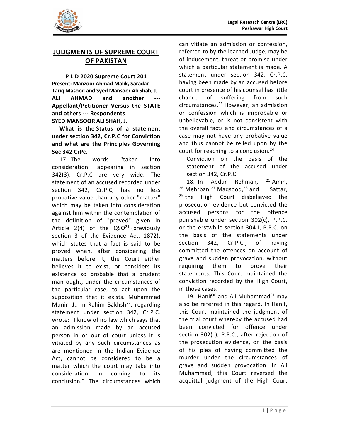

# JUDGMENTS OF SUPREME COURT OF PAKISTAN

P L D 2020 Supreme Court 201 Present: Manzoor Ahmad Malik, Saradar Tariq Masood and Syed Mansoor Ali Shah, JJ ALI AHMAD and another --- chance of Appellant/Petitioner Versus the STATE and others --- Respondents SYED MANSOOR ALI SHAH, J.

What is the Status of a statement under section 342, Cr.P.C for Conviction and what are the Principles Governing Sec 342 CrPc.

17. The words "taken into consideration" appearing in section 342(3), Cr.P.C are very wide. The statement of an accused recorded under section 342, Cr.P.C, has no less probative value than any other "matter" which may be taken into consideration against him within the contemplation of the definition of "proved" given in Article 2(4) of the  $QSO<sup>21</sup>$  (previously section 3 of the Evidence Act, 1872), which states that a fact is said to be section proved when, after considering the matters before it, the Court either believes it to exist, or considers its existence so probable that a prudent man ought, under the circumstances of the particular case, to act upon the supposition that it exists. Muhammad Munir, J., in Rahim Bakhsh<sup>22</sup>, regarding statement under section 342, Cr.P.C. wrote: "I know of no law which says that an admission made by an accused person in or out of court unless it is vitiated by any such circumstances as are mentioned in the Indian Evidence Act, cannot be considered to be a matter which the court may take into consideration in coming to its conclusion." The circumstances which

can vitiate an admission or confession, referred to by the learned Judge, may be of inducement, threat or promise under which a particular statement is made. A statement under section 342, Cr.P.C. having been made by an accused before court in presence of his counsel has little suffering from such circumstances.23 However, an admission or confession which is improbable or unbelievable, or is not consistent with the overall facts and circumstances of a case may not have any probative value and thus cannot be relied upon by the court for reaching to a conclusion.<sup>24</sup>

Conviction on the basis of the statement of the accused under section 342, Cr.P.C.

18. In Abdur Rehman, 25 Amin,  $26$  Mehrban,  $27$  Maqsood,  $28$  and Sattar,  $29$  the High Court disbelieved the prosecution evidence but convicted the accused persons for the offence punishable under section 302(c), P.P.C. or the erstwhile section 304-I, P.P.C. on the basis of the statements under 342, Cr.P.C., of having committed the offences on account of grave and sudden provocation, without requiring them to prove their statements. This Court maintained the conviction recorded by the High Court, in those cases.

ained the<br>gh Court,<br>nad<sup>31</sup> may<br>In Hanif,<br>gment of<br>cused had<br>e under<br>jection of<br>the basis<br>itted the<br>ances of<br>n. In Ali<br>rrsed the<br>igh Court<br>1 | Pourt 19. Hanif<sup>30</sup> and Ali Muhammad<sup>31</sup> may also be referred in this regard. In Hanif, this Court maintained the judgment of the trial court whereby the accused had been convicted for offence under section 302(c), P.P.C., after rejection of the prosecution evidence, on the basis of his plea of having committed the murder under the circumstances of grave and sudden provocation. In Ali Muhammad, this Court reversed the acquittal judgment of the High Court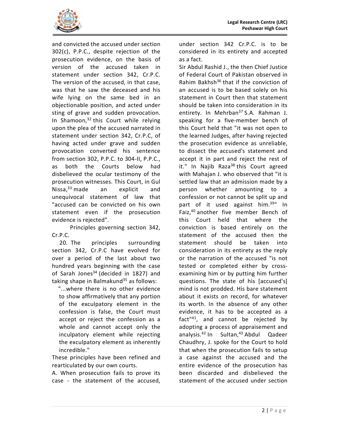and convicted the accused under section 302(c), P.P.C., despite rejection of the prosecution evidence, on the basis of version of the accused taken in statement under section 342, Cr.P.C. The version of the accused, in that case, was that he saw the deceased and his wife lying on the same bed in an objectionable position, and acted under sting of grave and sudden provocation. In Shamoon, $32$  this Court while relying upon the plea of the accused narrated in statement under section 342, Cr.P.C, of having acted under grave and sudden provocation converted his sentence from section 302, P.P.C. to 304-II, P.P.C., as both the Courts below had disbelieved the ocular testimony of the prosecution witnesses. This Court, in Gul Nissa,<sup>33</sup> made an explicit and unequivocal statement of law that "accused can be convicted on his own statement even if the prosecution evidence is rejected".

 Principles governing section 342, Cr.P.C.

20. The principles surrounding section 342, Cr.P.C have evolved for over a period of the last about two hundred years beginning with the case of Sarah Jones $34$  (decided in 1827) and taking shape in Balmakund $35$  as follows:

 "...where there is no other evidence to show affirmatively that any portion of the exculpatory element in the confession is false, the Court must accept or reject the confession as a whole and cannot accept only the inculpatory element while rejecting the exculpatory element as inherently incredible."

These principles have been refined and rearticulated by our own courts.

A. When prosecution fails to prove its case - the statement of the accused,

under section 342 Cr.P.C. is to be considered in its entirety and accepted as a fact.

m further<br>accused's]<br>tatatement<br>whatever<br>any other<br>ted as a<br>ected by<br>ment and<br>Qadeer<br>rt to hold<br>s to setup<br>and the<br>ution has<br>eved the<br>er section<br>2 | Page Sir Abdul Rashid J., the then Chief Justice of Federal Court of Pakistan observed in Rahim Bakhsh<sup>36</sup> that if the conviction of an accused is to be based solely on his statement in Court then that statement should be taken into consideration in its entirety. In Mehrban<sup>37</sup> S.A. Rahman J. speaking for a five-member bench of this Court held that "it was not open to the learned Judges, after having rejected the prosecution evidence as unreliable, to dissect the accused's statement and accept it in part and reject the rest of it." In Najib Raza<sup>38</sup> this Court agreed with Mahajan J. who observed that "it is settled law that an admission made by a person whether amounting to a confession or not cannot be split up and part of it used against him.<sup>39"</sup> In Faiz,40 another five member Bench of this Court held that where the conviction is based entirely on the statement of the accused then the statement should be taken into consideration in its entirety as the reply or the narration of the accused "is not tested or completed either by crossexamining him or by putting him further questions. The state of his [accused's] mind is not prodded. His bare statement about it exists on record, for whatever its worth. In the absence of any other evidence, it has to be accepted as a fact"41, and cannot be rejected by adopting a process of appraisement and analysis.<sup>42</sup> In Sultan,<sup>43</sup> Abdul Qadeer Chaudhry, J. spoke for the Court to hold that when the prosecution fails to setup a case against the accused and the entire evidence of the prosecution has been discarded and disbelieved the statement of the accused under section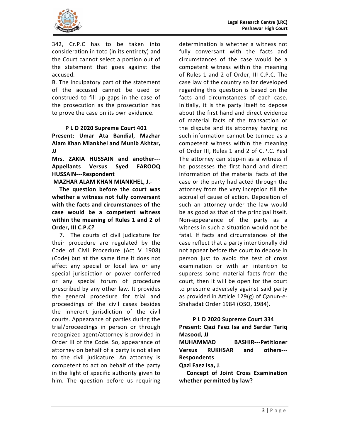

342, Cr.P.C has to be taken into consideration in toto (in its entirety) and the Court cannot select a portion out of the statement that goes against the accused.

B. The inculpatory part of the statement of the accused cannot be used or construed to fill up gaps in the case of the prosecution as the prosecution has to prove the case on its own evidence.

### P L D 2020 Supreme Court 401

Present: Umar Ata Bandial, Mazhar Alam Khan Miankhel and Munib Akhtar, JJ

Mrs. ZAKIA HUSSAIN and another--- Appellants Versus Syed FAROOQ HUSSAIN---Respondent

MAZHAR ALAM KHAN MIANKHEL, J.-

The question before the court was whether a witness not fully conversant with the facts and circumstances of the case would be a competent witness within the meaning of Rules 1 and 2 of Order, III C.P.C?

7. The courts of civil judicature for their procedure are regulated by the Code of Civil Procedure (Act V 1908) (Code) but at the same time it does not affect any special or local law or any special jurisdiction or power conferred or any special forum of procedure prescribed by any other law. It provides the general procedure for trial and proceedings of the civil cases besides the inherent jurisdiction of the civil courts. Appearance of parties during the trial/proceedings in person or through recognized agent/attorney is provided in Order III of the Code. So, appearance of **MUHAMMAD** attorney on behalf of a party is not alien Versus to the civil judicature. An attorney is competent to act on behalf of the party in the light of specific authority given to him. The question before us requiring

from the<br>the court<br>said party<br>Qanun-e-<br>34).<br>334<br>dar Tariq<br>Petitioner<br>others----<br>mination<br>3 | Page determination is whether a witness not fully conversant with the facts and circumstances of the case would be a competent witness within the meaning of Rules 1 and 2 of Order, III C.P.C. The case law of the country so far developed regarding this question is based on the facts and circumstances of each case. Initially, it is the party itself to depose about the first hand and direct evidence of material facts of the transaction or the dispute and its attorney having no such information cannot be termed as a competent witness within the meaning of Order III, Rules 1 and 2 of C.P.C. Yes! The attorney can step-in as a witness if he possesses the first hand and direct information of the material facts of the case or the party had acted through the attorney from the very inception till the accrual of cause of action. Deposition of such an attorney under the law would be as good as that of the principal itself. Non-appearance of the party as a witness in such a situation would not be fatal. If facts and circumstances of the case reflect that a party intentionally did not appear before the court to depose in person just to avoid the test of cross examination or with an intention to suppress some material facts from the court, then it will be open for the court to presume adversely against said party as provided in Article 129(g) of Qanun-e-Shahadat Order 1984 (QSO, 1984).

## P L D 2020 Supreme Court 334

Present: Qazi Faez Isa and Sardar Tariq Masood, JJ

**BASHIR---Petitioner** RUKHSAR and others---Respondents

Qazi Faez Isa, J.

Concept of Joint Cross Examination whether permitted by law?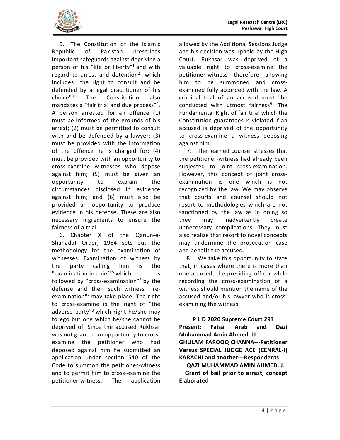

5. The Constitution of the Islamic Republic of Pakistan prescribes important safeguards against depriving a person of his "life or liberty"<sup>1</sup> and with valuable right regard to arrest and detention<sup>2</sup>, which includes "the right to consult and be defended by a legal practitioner of his choice<sup>"3</sup>. The Constitution also criminal mandates a "fair trial and due process"<sup>4</sup>. . A person arrested for an offence (1) must be informed of the grounds of his arrest; (2) must be permitted to consult with and be defended by a lawyer; (3) must be provided with the information of the offence he is charged for; (4) must be provided with an opportunity to cross-examine witnesses who depose against him; (5) must be given an opportunity to explain the circumstances disclosed in evidence against him; and (6) must also be provided an opportunity to produce evidence in his defense. These are also necessary ingredients to ensure the fairness of a trial.

6. Chapter X of the Qanun-e-Shahadat Order, 1984 sets out the methodology for the examination of witnesses. Examination of witness by the party calling him is the "examination-in-chief"<sup>5</sup> which is followed by "cross-examination"<sup>6</sup> by the defense and then such witness' "reexamination"<sup>7</sup> may take place. The right accused to cross-examine is the right of "the adverse party"<sup>8</sup> which right he/she may forego but one which he/she cannot be deprived of. Since the accused Rukhsar was not granted an opportunity to crossexamine the petitioner who had deposed against him he submitted an application under section 540 of the Code to summon the petitioner-witness and to permit him to cross-examine the petitioner-witness. The application

, which petitioner-witness therefore allowing allowed by the Additional Sessions Judge and his decision was upheld by the High Court. Rukhsar was deprived of a valuable right to cross-examine the him to be summoned and crossexamined fully accorded with the law. A criminal trial of an accused must "be conducted with utmost fairness<sup>9</sup>. The Fundamental Right of fair trial which the Constitution guarantees is violated if an accused is deprived of the opportunity to cross-examine a witness deposing against him.

> 7. The learned counsel stresses that the petitioner-witness had already been subjected to joint cross-examination. However, this concept of joint crossexamination is one which is not recognized by the law. We may observe that courts and counsel should not resort to methodologies which are not sanctioned by the law as in doing so may inadvertently create unnecessary complications. They must also realize that resort to novel concepts may undermine the prosecution case and benefit the accused.

icer while<br>ion of a<br>me of the<br>p is cross-<br>: **293**<br>d Qazi<br>Petitioner<br>CENRAL-I)<br>ndents<br>HMED, J.<br>, concept<br>4 | P a g e which is one accused, the presiding officer while by the recording the cross-examination of a 8. We take this opportunity to state that, in cases where there is more than witness should mention the name of the accused and/or his lawyer who is crossexamining the witness.

# P L D 2020 Supreme Court 293

Present: Faisal Arab and Qazi Muhammad Amin Ahmed, JJ GHULAM FAROOQ CHANNA---Petitioner Versus SPECIAL JUDGE ACE (CENRAL-I) KARACHI and another---Respondents

QAZI MUHAMMAD AMIN AHMED, J.

 Grant of bail prior to arrest, concept Elaborated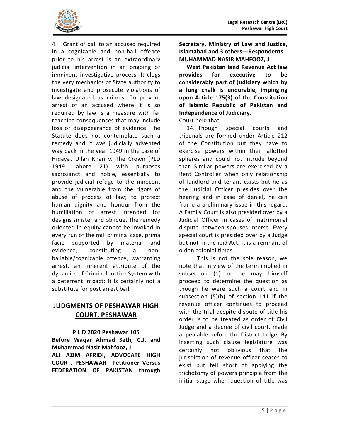

4. Grant of bail to an accused required in a cognizable and non-bail offence prior to his arrest is an extraordinary judicial intervention in an ongoing or imminent investigative process. It clogs **provides** the very mechanics of State authority to investigate and prosecute violations of law designated as crimes. To prevent arrest of an accused where it is so required by law is a measure with far reaching consequences that may include loss or disappearance of evidence. The Statute does not contemplate such a remedy and it was judicially advented way back in the year 1949 in the case of Hidayat Ullah Khan v. The Crown (PLD 1949 Lahore 21) with purposes sacrosanct and noble, essentially to provide judicial refuge to the innocent and the vulnerable from the rigors of abuse of process of law; to protect human dignity and honour from the humiliation of arrest intended for designs sinister and oblique. The remedy oriented in equity cannot be invoked in every run of the mill criminal case, prima facie supported by material and evidence, constituting a nonbailable/cognizable offence, warranting arrest, an inherent attribute of the dynamics of Criminal Justice System with a deterrent impact; it is certainly not a substitute for post arrest bail.

# JUDGMENTS OF PESHAWAR HIGH COURT, PESHAWAR

P L D 2020 Peshawar 105 Before Waqar Ahmad Seth, C.J. and Muhammad Nasir Mahfooz, J<br>
certainly ALI AZIM AFRIDI, ADVOCATE HIGH COURT, PESHAWAR---Petitioner Versus FEDERATION OF PAKISTAN through

Secretary, Ministry of Law and Justice, Islamabad and 3 others---Respondents MUHAMMAD NASIR MAHFOOZ, J

West Pakistan land Revenue Act law for executive to be considerably part of judiciary which by a long chalk is undurable, impinging upon Article 175(3) of the Constitution of Islamic Republic of Pakistan and Independence of Judiciary.

### Court held that

14. Though special courts and tribunals are formed under Article 212 of the Constitution but they have to exercise powers within their allotted spheres and could not intrude beyond that. Similar powers are exercised by a Rent Controller when only relationship of landlord and tenant exists but he as the Judicial Officer presides over the hearing and in case of denial, he can frame a preliminary issue in this regard. A Family Court is also presided over by a Judicial Officer in cases of matrimonial dispute between spouses interse. Every special court is presided over by a Judge but not in the ibid Act. It is a remnant of olden colonial times.

himself<br>estion as<br>rt and in<br>41 if the<br>proceed<br>of title his<br>er of Civil<br>urt, made<br>Judge. By<br>ture was<br>hat the<br>ceases to<br>lying the<br>from the<br>title was<br>illing the<br>from the<br>title was<br>5 This is not the sole reason, we note that in view of the term implied in subsection (1) or he may himself proceed to determine the question as though he were such a court and in subsection (5)(b) of section 141 if the revenue officer continues to proceed with the trial despite dispute of title his order is to be treated as order of Civil Judge and a decree of civil court, made appealable before the District Judge. By inserting such clause legislature was not oblivious that the jurisdiction of revenue officer ceases to exist but fell short of applying the trichotomy of powers principle from the initial stage when question of title was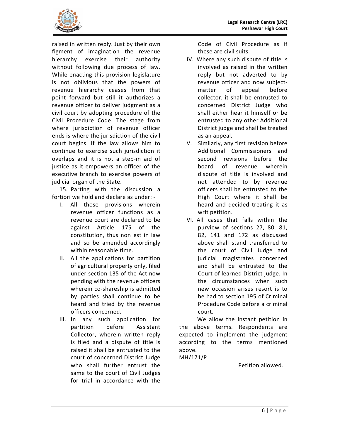

raised in written reply. Just by their own figment of imagination the revenue hierarchy exercise their authority without following due process of law. While enacting this provision legislature is not oblivious that the powers of revenue hierarchy ceases from that point forward but still it authorizes a revenue officer to deliver judgment as a civil court by adopting procedure of the Civil Procedure Code. The stage from where jurisdiction of revenue officer ends is where the jurisdiction of the civil court begins. If the law allows him to continue to exercise such jurisdiction it overlaps and it is not a step-in aid of justice as it empowers an officer of the executive branch to exercise powers of judicial organ of the State.

15. Parting with the discussion a fortiori we hold and declare as under: -

- I. All those provisions wherein revenue officer functions as a revenue court are declared to be against Article 175 of the constitution, thus non est in law and so be amended accordingly within reasonable time.
- II. All the applications for partition of agricultural property only, filed under section 135 of the Act now pending with the revenue officers wherein co-shareship is admitted by parties shall continue to be heard and tried by the revenue officers concerned.
- III. In any such application for Collector, wherein written reply is filed and a dispute of title is raised it shall be entrusted to the court of concerned District Judge who shall further entrust the same to the court of Civil Judges for trial in accordance with the

Code of Civil Procedure as if these are civil suits.

- IV. Where any such dispute of title is involved as raised in the written reply but not adverted to by revenue officer and now subjectmatter of appeal before collector, it shall be entrusted to concerned District Judge who shall either hear it himself or be entrusted to any other Additional District judge and shall be treated as an appeal.
- V. Similarly, any first revision before Additional Commissioners and second revisions before the of revenue wherein dispute of title is involved and not attended to by revenue officers shall be entrusted to the High Court where it shall be heard and decided treating it as writ petition.
- Filter and the such sort is to form in all a criminal a criminal detition in and start and start and start and start and all owed.<br>a given that are produced all owed.<br>allowed. VI. All cases that falls within the purview of sections 27, 80, 81, 82, 141 and 172 as discussed above shall stand transferred to the court of Civil Judge and judicial magistrates concerned and shall be entrusted to the Court of learned District judge. In the circumstances when such new occasion arises resort is to be had to section 195 of Criminal Procedure Code before a criminal court.

partition before Assistant the above terms. Respondents are We allow the instant petition in expected to implement the judgment according to the terms mentioned above.

MH/171/P

Petition allowed.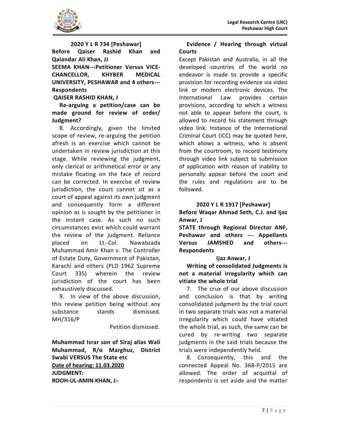

2020 Y L R 734 [Peshawar] Before Qaiser Rashid Khan and Qalandar Ali Khan, JJ SEEMA KHAN---Petitioner Versus VICE-CHANCELLOR, KHYBER MEDICAL UNIVERSITY, PESHAWAR and 4 others--- Respondents QAISER RASHID KHAN, J

Re-arguing a petition/case can be made ground for review of order/ Judgment?

8. Accordingly, given the limited scope of review, re-arguing the petition afresh is an exercise which cannot be undertaken in review jurisdiction at this stage. While reviewing the judgment, only clerical or arithmetical error or any mistake floating on the face of record can be corrected. In exercise of review jurisdiction, the court cannot sit as a court of appeal against its own judgment and consequently form a different opinion as is sought by the petitioner in the instant case. As such no such circumstances exist which could warrant the review of the judgment. Reliance placed on Lt.-Col. Nawabzada Muhammad Amir Khan v. The Controller of Estate Duty, Government of Pakistan, Karachi and others (PLD 1962 Supreme Court 335) wherein the review jurisdiction of the court has been exhaustively discussed.

9. In view of the above discussion, this review petition being without any substance stands dismissed. MH/316/P

Petition dismissed.

Muhammad Israr son of Siraj alias Wali Muhammad, R/o Marghuz, District Swabi VERSUS The State etc Date of hearing: 11.03.2020 JUDGMENT: ROOH-UL-AMIN KHAN, J:-

# Evidence / Hearing through virtual **Courts**

Except Pakistan and Australia, in all the developed countries of the world no endeavor is made to provide a specific provision for recording evidence via video link or modern electronic devices. The International Law provides certain provisions, according to which a witness not able to appear before the court, is allowed to record his statement through video link. Instance of the International Criminal Court (ICC) may be quoted here, which allows a witness, who is absent from the courtroom, to record testimony through video link subject to submission of application with reason of inability to personally appear before the court and the rules and regulations are to be followed.

# 2020 Y L R 1917 [Peshawar]

Before Waqar Ahmad Seth, C.J. and Ijaz Anwar, J

STATE through Regional Director ANF, Peshawar and others --- Appellants JAMSHED and others---Respondents

## Ijaz Anwar, J

Writing of consolidated Judgments is not a material irregularity which can vitiate the whole trial

position that<br>discussion<br>that is discussed in the material<br>one can be separate<br>cause the and the<br>and the 2015 are<br>quittal of<br>ne matter<br>7 | Page 7. The crux of our above discussion and conclusion is that by writing consolidated judgment by the trial court in two separate trials was not a material irregularity which could have vitiated the whole trial, as such, the same can be cured by re-writing two separate judgments in the said trials because the trials were independently held.

8. Consequently, this and the connected Appeal No. 368-P/2015 are allowed. The order of acquittal of respondents is set aside and the matter